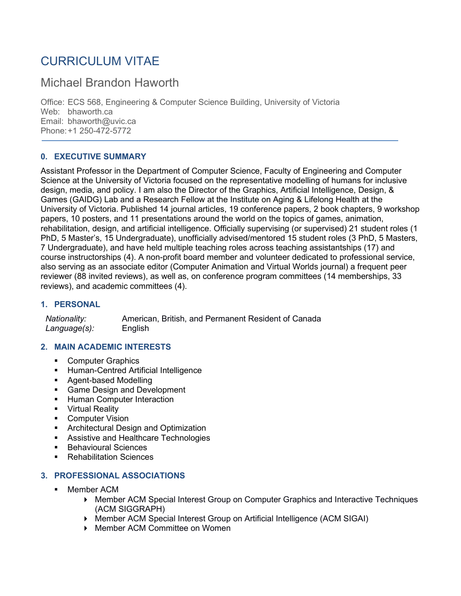# CURRICULUM VITAE

## Michael Brandon Haworth

Office: ECS 568, Engineering & Computer Science Building, University of Victoria Web: bhaworth.ca Email: bhaworth@uvic.ca Phone:+1 250-472-5772

## **0. EXECUTIVE SUMMARY**

Assistant Professor in the Department of Computer Science, Faculty of Engineering and Computer Science at the University of Victoria focused on the representative modelling of humans for inclusive design, media, and policy. I am also the Director of the Graphics, Artificial Intelligence, Design, & Games (GAIDG) Lab and a Research Fellow at the Institute on Aging & Lifelong Health at the University of Victoria. Published 14 journal articles, 19 conference papers, 2 book chapters, 9 workshop papers, 10 posters, and 11 presentations around the world on the topics of games, animation, rehabilitation, design, and artificial intelligence. Officially supervising (or supervised) 21 student roles (1 PhD, 5 Master's, 15 Undergraduate), unofficially advised/mentored 15 student roles (3 PhD, 5 Masters, 7 Undergraduate), and have held multiple teaching roles across teaching assistantships (17) and course instructorships (4). A non-profit board member and volunteer dedicated to professional service, also serving as an associate editor (Computer Animation and Virtual Worlds journal) a frequent peer reviewer (88 invited reviews), as well as, on conference program committees (14 memberships, 33 reviews), and academic committees (4).

## **1. PERSONAL**

 *Nationality:* American, British, and Permanent Resident of Canada  *Language(s):* English

## **2. MAIN ACADEMIC INTERESTS**

- Computer Graphics
- **Human-Centred Artificial Intelligence**
- **Agent-based Modelling**
- **Game Design and Development**
- **Human Computer Interaction**
- **•** Virtual Reality
- **•** Computer Vision
- **Architectural Design and Optimization**
- **Assistive and Healthcare Technologies**
- Behavioural Sciences
- Rehabilitation Sciences

#### **3. PROFESSIONAL ASSOCIATIONS**

- **Member ACM** 
	- Member ACM Special Interest Group on Computer Graphics and Interactive Techniques (ACM SIGGRAPH)
	- Member ACM Special Interest Group on Artificial Intelligence (ACM SIGAI)
	- ▶ Member ACM Committee on Women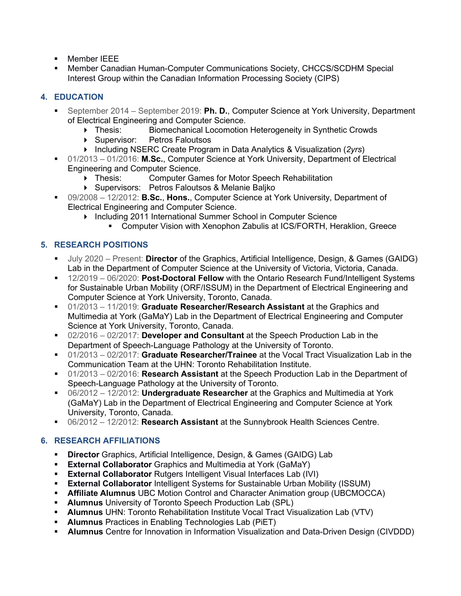- **Member IEEE**
- Member Canadian Human-Computer Communications Society, CHCCS/SCDHM Special Interest Group within the Canadian Information Processing Society (CIPS)

## **4. EDUCATION**

- September 2014 September 2019: **Ph. D.**, Computer Science at York University, Department of Electrical Engineering and Computer Science.
	- Thesis: Biomechanical Locomotion Heterogeneity in Synthetic Crowds
	- ▶ Supervisor: Petros Faloutsos
	- Including NSERC Create Program in Data Analytics & Visualization (*2yrs*)
- 01/2013 01/2016: **M.Sc.**, Computer Science at York University, Department of Electrical Engineering and Computer Science.
	- Thesis: Computer Games for Motor Speech Rehabilitation
	- Supervisors: Petros Faloutsos & Melanie Baljko
- 09/2008 12/2012: **B.Sc.**, **Hons.**, Computer Science at York University, Department of Electrical Engineering and Computer Science.
	- ▶ Including 2011 International Summer School in Computer Science
		- Computer Vision with Xenophon Zabulis at ICS/FORTH, Heraklion, Greece

## **5. RESEARCH POSITIONS**

- July 2020 Present: **Director** of the Graphics, Artificial Intelligence, Design, & Games (GAIDG) Lab in the Department of Computer Science at the University of Victoria, Victoria, Canada.
- 12/2019 06/2020: **Post-Doctoral Fellow** with the Ontario Research Fund/Intelligent Systems for Sustainable Urban Mobility (ORF/ISSUM) in the Department of Electrical Engineering and Computer Science at York University, Toronto, Canada.
- 01/2013 11/2019: **Graduate Researcher/Research Assistant** at the Graphics and Multimedia at York (GaMaY) Lab in the Department of Electrical Engineering and Computer Science at York University, Toronto, Canada.
- 02/2016 02/2017: **Developer and Consultant** at the Speech Production Lab in the Department of Speech-Language Pathology at the University of Toronto.
- 01/2013 02/2017: **Graduate Researcher/Trainee** at the Vocal Tract Visualization Lab in the Communication Team at the UHN: Toronto Rehabilitation Institute.
- 01/2013 02/2016: **Research Assistant** at the Speech Production Lab in the Department of Speech-Language Pathology at the University of Toronto.
- 06/2012 12/2012: **Undergraduate Researcher** at the Graphics and Multimedia at York (GaMaY) Lab in the Department of Electrical Engineering and Computer Science at York University, Toronto, Canada.
- 06/2012 12/2012: **Research Assistant** at the Sunnybrook Health Sciences Centre.

## **6. RESEARCH AFFILIATIONS**

- **Director** Graphics, Artificial Intelligence, Design, & Games (GAIDG) Lab
- **External Collaborator** Graphics and Multimedia at York (GaMaY)
- **External Collaborator** Rutgers Intelligent Visual Interfaces Lab (IVI)
- **External Collaborator** Intelligent Systems for Sustainable Urban Mobility (ISSUM)
- **Affiliate Alumnus** UBC Motion Control and Character Animation group (UBCMOCCA)
- **Alumnus** University of Toronto Speech Production Lab (SPL)
- **Alumnus** UHN: Toronto Rehabilitation Institute Vocal Tract Visualization Lab (VTV)
- **Alumnus** Practices in Enabling Technologies Lab (PiET)
- **Alumnus** Centre for Innovation in Information Visualization and Data-Driven Design (CIVDDD)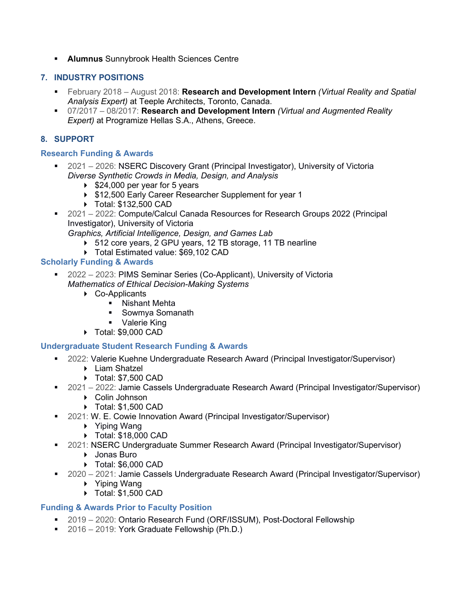**Alumnus** Sunnybrook Health Sciences Centre

## **7. INDUSTRY POSITIONS**

- February 2018 August 2018: **Research and Development Intern** *(Virtual Reality and Spatial Analysis Expert)* at Teeple Architects, Toronto, Canada.
- 07/2017 08/2017: **Research and Development Intern** *(Virtual and Augmented Reality Expert)* at Programize Hellas S.A., Athens, Greece.

## **8. SUPPORT**

#### **Research Funding & Awards**

- 2021 2026: NSERC Discovery Grant (Principal Investigator), University of Victoria *Diverse Synthetic Crowds in Media, Design, and Analysis*
	- $\blacktriangleright$  \$24,000 per year for 5 years
	- ▶ \$12,500 Early Career Researcher Supplement for year 1
	- Total: \$132,500 CAD
- 2021 2022: Compute/Calcul Canada Resources for Research Groups 2022 (Principal Investigator), University of Victoria *Graphics, Artificial Intelligence, Design, and Games Lab*
	- ▶ 512 core years, 2 GPU years, 12 TB storage, 11 TB nearline
	- ▶ Total Estimated value: \$69,102 CAD

## **Scholarly Funding & Awards**

- 2022 2023: PIMS Seminar Series (Co-Applicant), University of Victoria *Mathematics of Ethical Decision-Making Systems*
	- ▶ Co-Applicants
		- **Nishant Mehta**
		- Sowmya Somanath
		- **•** Valerie King
	- Total: \$9,000 CAD

#### **Undergraduate Student Research Funding & Awards**

- 2022: Valerie Kuehne Undergraduate Research Award (Principal Investigator/Supervisor)
	- ▶ Liam Shatzel
		- ▶ Total: \$7,500 CAD
- 2021 2022: Jamie Cassels Undergraduate Research Award (Principal Investigator/Supervisor)
	- Colin Johnson
	- Total: \$1,500 CAD
- 2021: W. E. Cowie Innovation Award (Principal Investigator/Supervisor)
	- ▶ Yiping Wang
	- ▶ Total: \$18,000 CAD
- 2021: NSERC Undergraduate Summer Research Award (Principal Investigator/Supervisor)
	- ▶ Jonas Buro
	- Total: \$6,000 CAD
- 2020 2021: Jamie Cassels Undergraduate Research Award (Principal Investigator/Supervisor)
	- ▶ Yiping Wang
	- ▶ Total: \$1,500 CAD

#### **Funding & Awards Prior to Faculty Position**

- 2019 2020: Ontario Research Fund (ORF/ISSUM), Post-Doctoral Fellowship
- 2016 2019: York Graduate Fellowship (Ph.D.)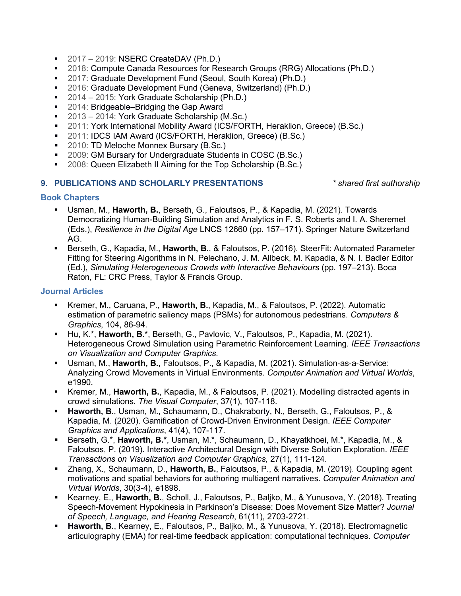- $-2017 2019$ : NSERC CreateDAV (Ph.D.)
- 2018: Compute Canada Resources for Research Groups (RRG) Allocations (Ph.D.)
- 2017: Graduate Development Fund (Seoul, South Korea) (Ph.D.)
- 2016: Graduate Development Fund (Geneva, Switzerland) (Ph.D.)
- 2014 2015: York Graduate Scholarship (Ph.D.)
- 2014: Bridgeable–Bridging the Gap Award
- 2013 2014: York Graduate Scholarship (M.Sc.)
- 2011: York International Mobility Award (ICS/FORTH, Heraklion, Greece) (B.Sc.)
- 2011: IDCS IAM Award (ICS/FORTH, Heraklion, Greece) (B.Sc.)
- 2010: TD Meloche Monnex Bursary (B.Sc.)
- 2009: GM Bursary for Undergraduate Students in COSC (B.Sc.)
- **2008: Queen Elizabeth II Aiming for the Top Scholarship (B.Sc.)**

#### **9. PUBLICATIONS AND SCHOLARLY PRESENTATIONS** *\* shared first authorship*

#### **Book Chapters**

- Usman, M., **Haworth, B.**, Berseth, G., Faloutsos, P., & Kapadia, M. (2021). Towards Democratizing Human-Building Simulation and Analytics in F. S. Roberts and I. A. Sheremet (Eds.), *Resilience in the Digital Age* LNCS 12660 (pp. 157–171). Springer Nature Switzerland AG.
- Berseth, G., Kapadia, M., **Haworth, B.**, & Faloutsos, P. (2016). SteerFit: Automated Parameter Fitting for Steering Algorithms in N. Pelechano, J. M. Allbeck, M. Kapadia, & N. I. Badler Editor (Ed.), *Simulating Heterogeneous Crowds with Interactive Behaviours* (pp. 197–213). Boca Raton, FL: CRC Press, Taylor & Francis Group.

#### **Journal Articles**

- Kremer, M., Caruana, P., **Haworth, B.**, Kapadia, M., & Faloutsos, P. (2022). Automatic estimation of parametric saliency maps (PSMs) for autonomous pedestrians. *Computers & Graphics*, 104, 86-94.
- Hu, K.\*, **Haworth, B.\***, Berseth, G., Pavlovic, V., Faloutsos, P., Kapadia, M. (2021). Heterogeneous Crowd Simulation using Parametric Reinforcement Learning. *IEEE Transactions on Visualization and Computer Graphics.*
- Usman, M., **Haworth, B.**, Faloutsos, P., & Kapadia, M. (2021). Simulation-as-a-Service: Analyzing Crowd Movements in Virtual Environments. *Computer Animation and Virtual Worlds*, e1990.
- Kremer, M., **Haworth, B.**, Kapadia, M., & Faloutsos, P. (2021). Modelling distracted agents in crowd simulations. *The Visual Computer*, 37(1), 107-118.
- **Haworth, B.**, Usman, M., Schaumann, D., Chakraborty, N., Berseth, G., Faloutsos, P., & Kapadia, M. (2020). Gamification of Crowd-Driven Environment Design. *IEEE Computer Graphics and Applications*, 41(4), 107-117.
- Berseth, G.\*, **Haworth, B.\***, Usman, M.\*, Schaumann, D., Khayatkhoei, M.\*, Kapadia, M., & Faloutsos, P. (2019). Interactive Architectural Design with Diverse Solution Exploration. *IEEE Transactions on Visualization and Computer Graphics,* 27(1), 111-124.
- Zhang, X., Schaumann, D., **Haworth, B.**, Faloutsos, P., & Kapadia, M. (2019). Coupling agent motivations and spatial behaviors for authoring multiagent narratives. *Computer Animation and Virtual Worlds*, 30(3-4), e1898.
- Kearney, E., **Haworth, B.**, Scholl, J., Faloutsos, P., Baljko, M., & Yunusova, Y. (2018). Treating Speech-Movement Hypokinesia in Parkinson's Disease: Does Movement Size Matter? *Journal of Speech, Language, and Hearing Research*, 61(11), 2703-2721.
- **Haworth, B.**, Kearney, E., Faloutsos, P., Baljko, M., & Yunusova, Y. (2018). Electromagnetic articulography (EMA) for real-time feedback application: computational techniques. *Computer*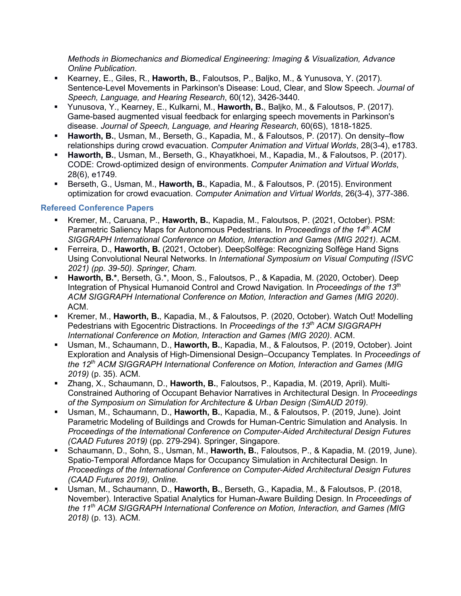*Methods in Biomechanics and Biomedical Engineering: Imaging & Visualization, Advance Online Publication*.

- Kearney, E., Giles, R., **Haworth, B.**, Faloutsos, P., Baljko, M., & Yunusova, Y. (2017). Sentence-Level Movements in Parkinson's Disease: Loud, Clear, and Slow Speech. *Journal of Speech, Language, and Hearing Research*, 60(12), 3426-3440.
- Yunusova, Y., Kearney, E., Kulkarni, M., **Haworth, B.**, Baljko, M., & Faloutsos, P. (2017). Game-based augmented visual feedback for enlarging speech movements in Parkinson's disease. *Journal of Speech, Language, and Hearing Research*, 60(6S), 1818-1825.
- **Haworth, B.**, Usman, M., Berseth, G., Kapadia, M., & Faloutsos, P. (2017). On density–flow relationships during crowd evacuation. *Computer Animation and Virtual Worlds*, 28(3-4), e1783.
- **Haworth, B.**, Usman, M., Berseth, G., Khayatkhoei, M., Kapadia, M., & Faloutsos, P. (2017). CODE: Crowd‐optimized design of environments. *Computer Animation and Virtual Worlds*, 28(6), e1749.
- Berseth, G., Usman, M., **Haworth, B.**, Kapadia, M., & Faloutsos, P. (2015). Environment optimization for crowd evacuation. *Computer Animation and Virtual Worlds*, 26(3-4), 377-386.

#### **Refereed Conference Papers**

- Kremer, M., Caruana, P., **Haworth, B.**, Kapadia, M., Faloutsos, P. (2021, October). PSM: Parametric Saliency Maps for Autonomous Pedestrians*.* In *Proceedings of the 14th ACM SIGGRAPH International Conference on Motion, Interaction and Games (MIG 2021)*. ACM.
- Ferreira, D., **Haworth, B.** (2021, October). DeepSolfège: Recognizing Solfège Hand Signs Using Convolutional Neural Networks. In *International Symposium on Visual Computing (ISVC 2021) (pp. 39-50). Springer, Cham.*
- **Haworth, B.\***, Berseth, G.\*, Moon, S., Faloutsos, P., & Kapadia, M. (2020, October). Deep Integration of Physical Humanoid Control and Crowd Navigation*.* In *Proceedings of the 13th ACM SIGGRAPH International Conference on Motion, Interaction and Games (MIG 2020)*. ACM.
- Kremer, M., **Haworth, B.**, Kapadia, M., & Faloutsos, P. (2020, October). Watch Out! Modelling Pedestrians with Egocentric Distractions*.* In *Proceedings of the 13th ACM SIGGRAPH International Conference on Motion, Interaction and Games (MIG 2020)*. ACM.
- Usman, M., Schaumann, D., **Haworth, B.**, Kapadia, M., & Faloutsos, P. (2019, October). Joint Exploration and Analysis of High-Dimensional Design–Occupancy Templates*.* In *Proceedings of the 12th ACM SIGGRAPH International Conference on Motion, Interaction and Games (MIG 2019)* (p. 35). ACM.
- Zhang, X., Schaumann, D., **Haworth, B.**, Faloutsos, P., Kapadia, M. (2019, April). Multi-Constrained Authoring of Occupant Behavior Narratives in Architectural Design. In *Proceedings of the Symposium on Simulation for Architecture & Urban Design (SimAUD 2019).*
- Usman, M., Schaumann, D., **Haworth, B.**, Kapadia, M., & Faloutsos, P. (2019, June). Joint Parametric Modeling of Buildings and Crowds for Human-Centric Simulation and Analysis. In *Proceedings of the International Conference on Computer-Aided Architectural Design Futures (CAAD Futures 2019)* (pp. 279-294). Springer, Singapore.
- Schaumann, D., Sohn, S., Usman, M., **Haworth, B.**, Faloutsos, P., & Kapadia, M. (2019, June). Spatio-Temporal Affordance Maps for Occupancy Simulation in Architectural Design. In *Proceedings of the International Conference on Computer-Aided Architectural Design Futures (CAAD Futures 2019), Online.*
- Usman, M., Schaumann, D., **Haworth, B.**, Berseth, G., Kapadia, M., & Faloutsos, P. (2018, November). Interactive Spatial Analytics for Human-Aware Building Design. In *Proceedings of the 11th ACM SIGGRAPH International Conference on Motion, Interaction, and Games (MIG 2018)* (p. 13)*.* ACM.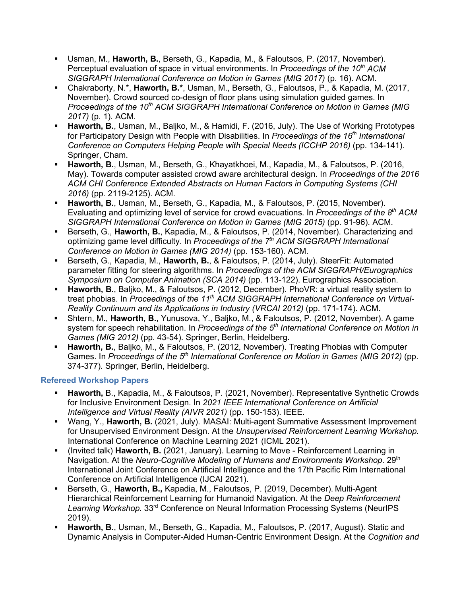- Usman, M., **Haworth, B.**, Berseth, G., Kapadia, M., & Faloutsos, P. (2017, November). Perceptual evaluation of space in virtual environments. In *Proceedings of the 10th ACM SIGGRAPH International Conference on Motion in Games (MIG 2017)* (p. 16). ACM.
- Chakraborty, N.\*, **Haworth, B.\***, Usman, M., Berseth, G., Faloutsos, P., & Kapadia, M. (2017, November). Crowd sourced co-design of floor plans using simulation guided games. In *Proceedings of the 10<sup>th</sup> ACM SIGGRAPH International Conference on Motion in Games (MIG 2017)* (p. 1). ACM.
- **Haworth, B.**, Usman, M., Baljko, M., & Hamidi, F. (2016, July). The Use of Working Prototypes for Participatory Design with People with Disabilities. In *Proceedings of the 16th International Conference on Computers Helping People with Special Needs (ICCHP 2016)* (pp. 134-141). Springer, Cham.
- **Haworth, B.**, Usman, M., Berseth, G., Khayatkhoei, M., Kapadia, M., & Faloutsos, P. (2016, May). Towards computer assisted crowd aware architectural design. In *Proceedings of the 2016 ACM CHI Conference Extended Abstracts on Human Factors in Computing Systems (CHI 2016)* (pp. 2119-2125). ACM.
- **Haworth, B.**, Usman, M., Berseth, G., Kapadia, M., & Faloutsos, P. (2015, November). Evaluating and optimizing level of service for crowd evacuations. In *Proceedings of the 8th ACM SIGGRAPH International Conference on Motion in Games (MIG 2015)* (pp. 91-96). ACM.
- Berseth, G., **Haworth, B.**, Kapadia, M., & Faloutsos, P. (2014, November). Characterizing and optimizing game level difficulty. In *Proceedings of the 7th ACM SIGGRAPH International Conference on Motion in Games (MIG 2014)* (pp. 153-160). ACM.
- Berseth, G., Kapadia, M., **Haworth, B.**, & Faloutsos, P. (2014, July). SteerFit: Automated parameter fitting for steering algorithms. In *Proceedings of the ACM SIGGRAPH/Eurographics Symposium on Computer Animation (SCA 2014)* (pp. 113-122). Eurographics Association.
- **Haworth, B.**, Baljko, M., & Faloutsos, P. (2012, December). PhoVR: a virtual reality system to treat phobias. In *Proceedings of the 11th ACM SIGGRAPH International Conference on Virtual-Reality Continuum and its Applications in Industry (VRCAI 2012)* (pp. 171-174). ACM.
- Shtern, M., **Haworth, B.**, Yunusova, Y., Baljko, M., & Faloutsos, P. (2012, November). A game system for speech rehabilitation. In *Proceedings of the 5th International Conference on Motion in Games (MIG 2012)* (pp. 43-54). Springer, Berlin, Heidelberg.
- **Haworth, B.**, Baljko, M., & Faloutsos, P. (2012, November). Treating Phobias with Computer Games. In *Proceedings of the 5th International Conference on Motion in Games (MIG 2012)* (pp. 374-377). Springer, Berlin, Heidelberg.

## **Refereed Workshop Papers**

- **Haworth,** B., Kapadia, M., & Faloutsos, P. (2021, November). Representative Synthetic Crowds for Inclusive Environment Design. In *2021 IEEE International Conference on Artificial Intelligence and Virtual Reality (AIVR 2021)* (pp. 150-153). IEEE.
- Wang, Y., **Haworth, B.** (2021, July). MASAI: Multi-agent Summative Assessment Improvement for Unsupervised Environment Design. At the *Unsupervised Reinforcement Learning Workshop*. International Conference on Machine Learning 2021 (ICML 2021).
- (Invited talk) **Haworth, B.** (2021, January). Learning to Move Reinforcement Learning in Navigation. At the *Neuro-Cognitive Modeling of Humans and Environments Workshop*. 29<sup>th</sup> International Joint Conference on Artificial Intelligence and the 17th Pacific Rim International Conference on Artificial Intelligence (IJCAI 2021).
- Berseth, G., **Haworth, B.,** Kapadia, M., Faloutsos, P. (2019, December). Multi-Agent Hierarchical Reinforcement Learning for Humanoid Navigation. At the *Deep Reinforcement Learning Workshop*. 33rd Conference on Neural Information Processing Systems (NeurIPS 2019).
- **Haworth, B.**, Usman, M., Berseth, G., Kapadia, M., Faloutsos, P. (2017, August). Static and Dynamic Analysis in Computer-Aided Human-Centric Environment Design. At the *Cognition and*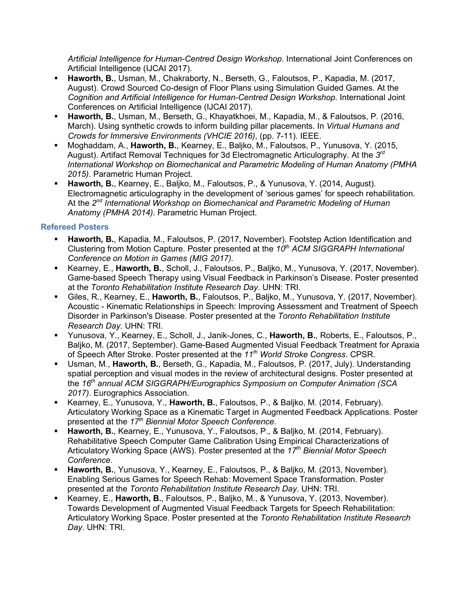*Artificial Intelligence for Human-Centred Design Workshop*. International Joint Conferences on Artificial Intelligence (IJCAI 2017).

- **Haworth, B.**, Usman, M., Chakraborty, N., Berseth, G., Faloutsos, P., Kapadia, M. (2017, August). Crowd Sourced Co-design of Floor Plans using Simulation Guided Games. At the *Cognition and Artificial Intelligence for Human-Centred Design Workshop*. International Joint Conferences on Artificial Intelligence (IJCAI 2017).
- **Haworth, B.**, Usman, M., Berseth, G., Khayatkhoei, M., Kapadia, M., & Faloutsos, P. (2016, March). Using synthetic crowds to inform building pillar placements. In *Virtual Humans and Crowds for Immersive Environments (VHCIE 2016)*, (pp. 7-11). IEEE.
- Moghaddam, A., **Haworth, B.**, Kearney, E., Baljko, M., Faloutsos, P., Yunusova, Y. (2015, August). Artifact Removal Techniques for 3d Electromagnetic Articulography. At the *3rd International Workshop on Biomechanical and Parametric Modeling of Human Anatomy (PMHA 2015)*. Parametric Human Project.
- **Haworth, B.**, Kearney, E., Baljko, M., Faloutsos, P., & Yunusova, Y. (2014, August). Electromagnetic articulography in the development of 'serious games' for speech rehabilitation. At the *2nd International Workshop on Biomechanical and Parametric Modeling of Human Anatomy (PMHA 2014)*. Parametric Human Project.

## **Refereed Posters**

- **Haworth, B.**, Kapadia, M., Faloutsos, P. (2017, November). Footstep Action Identification and Clustering from Motion Capture. Poster presented at the *10th ACM SIGGRAPH International Conference on Motion in Games (MIG 2017).*
- Kearney, E., **Haworth, B.**, Scholl, J., Faloutsos, P., Baljko, M., Yunusova, Y. (2017, November). Game-based Speech Therapy using Visual Feedback in Parkinson's Disease. Poster presented at the *Toronto Rehabilitation Institute Research Day*. UHN: TRI.
- Giles, R., Kearney, E., **Haworth, B.**, Faloutsos, P., Baljko, M., Yunusova, Y. (2017, November). Acoustic - Kinematic Relationships in Speech: Improving Assessment and Treatment of Speech Disorder in Parkinson's Disease. Poster presented at the *Toronto Rehabilitation Institute Research Day*. UHN: TRI.
- Yunusova, Y., Kearney, E., Scholl, J., Janik-Jones, C., **Haworth, B.**, Roberts, E., Faloutsos, P., Baljko, M. (2017, September). Game-Based Augmented Visual Feedback Treatment for Apraxia of Speech After Stroke. Poster presented at the *11th World Stroke Congress*. CPSR.
- Usman, M., **Haworth, B.**, Berseth, G., Kapadia, M., Faloutsos, P. (2017, July). Understanding spatial perception and visual modes in the review of architectural designs. Poster presented at the *16th annual ACM SIGGRAPH/Eurographics Symposium on Computer Animation (SCA 2017)*. Eurographics Association.
- Kearney, E., Yunusova, Y., **Haworth, B.**, Faloutsos, P., & Baljko, M. (2014, February). Articulatory Working Space as a Kinematic Target in Augmented Feedback Applications. Poster presented at the *17th Biennial Motor Speech Conference*.
- **Haworth, B.**, Kearney, E., Yunusova, Y., Faloutsos, P., & Baljko, M. (2014, February). Rehabilitative Speech Computer Game Calibration Using Empirical Characterizations of Articulatory Working Space (AWS). Poster presented at the *17th Biennial Motor Speech Conference*.
- **Haworth, B.**, Yunusova, Y., Kearney, E., Faloutsos, P., & Baljko, M. (2013, November). Enabling Serious Games for Speech Rehab: Movement Space Transformation. Poster presented at the *Toronto Rehabilitation Institute Research Day*. UHN: TRI.
- Kearney, E., **Haworth, B.**, Faloutsos, P., Baljko, M., & Yunusova, Y. (2013, November). Towards Development of Augmented Visual Feedback Targets for Speech Rehabilitation: Articulatory Working Space. Poster presented at the *Toronto Rehabilitation Institute Research Day*. UHN: TRI.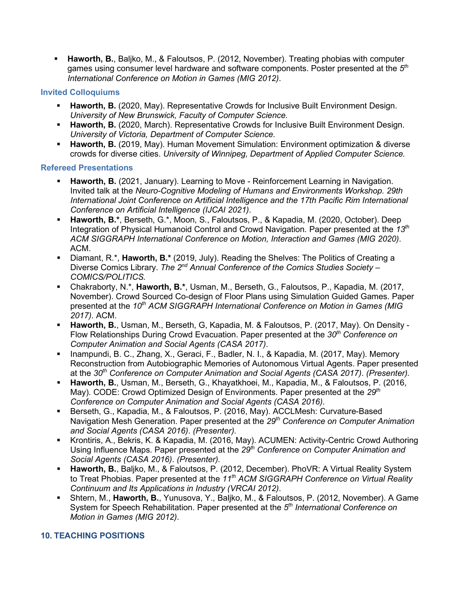**Haworth, B.**, Baljko, M., & Faloutsos, P. (2012, November). Treating phobias with computer games using consumer level hardware and software components. Poster presented at the *5th International Conference on Motion in Games (MIG 2012)*.

## **Invited Colloquiums**

- **Haworth, B.** (2020, May). Representative Crowds for Inclusive Built Environment Design. *University of New Brunswick, Faculty of Computer Science.*
- **Haworth, B.** (2020, March). Representative Crowds for Inclusive Built Environment Design. *University of Victoria, Department of Computer Science.*
- **Haworth, B.** (2019, May). Human Movement Simulation: Environment optimization & diverse crowds for diverse cities. *University of Winnipeg, Department of Applied Computer Science.*

## **Refereed Presentations**

- **Haworth, B.** (2021, January). Learning to Move Reinforcement Learning in Navigation. Invited talk at the *Neuro-Cognitive Modeling of Humans and Environments Workshop. 29th International Joint Conference on Artificial Intelligence and the 17th Pacific Rim International Conference on Artificial Intelligence (IJCAI 2021)*.
- **Haworth, B.\***, Berseth, G.\*, Moon, S., Faloutsos, P., & Kapadia, M. (2020, October). Deep Integration of Physical Humanoid Control and Crowd Navigation*.* Paper presented at the *13th ACM SIGGRAPH International Conference on Motion, Interaction and Games (MIG 2020)*. ACM.
- Diamant, R.\*, **Haworth, B.\*** (2019, July). Reading the Shelves: The Politics of Creating a Diverse Comics Library. *The 2nd Annual Conference of the Comics Studies Society – COMICS/POLITICS.*
- Chakraborty, N.\*, **Haworth, B.\***, Usman, M., Berseth, G., Faloutsos, P., Kapadia, M. (2017, November). Crowd Sourced Co-design of Floor Plans using Simulation Guided Games. Paper presented at the 10<sup>th</sup> ACM SIGGRAPH International Conference on Motion in Games (MIG *2017)*. ACM.
- **Haworth, B.**, Usman, M., Berseth, G, Kapadia, M. & Faloutsos, P. (2017, May). On Density Flow Relationships During Crowd Evacuation. Paper presented at the 30<sup>th</sup> Conference on *Computer Animation and Social Agents (CASA 2017)*.
- Inampundi, B. C., Zhang, X., Geraci, F., Badler, N. I., & Kapadia, M. (2017, May). Memory Reconstruction from Autobiographic Memories of Autonomous Virtual Agents. Paper presented at the *30th Conference on Computer Animation and Social Agents (CASA 2017)*. *(Presenter).*
- **Haworth, B.**, Usman, M., Berseth, G., Khayatkhoei, M., Kapadia, M., & Faloutsos, P. (2016, May). CODE: Crowd Optimized Design of Environments. Paper presented at the 29<sup>th</sup> *Conference on Computer Animation and Social Agents (CASA 2016)*.
- Berseth, G., Kapadia, M., & Faloutsos, P. (2016, May). ACCLMesh: Curvature-Based Navigation Mesh Generation. Paper presented at the *29th Conference on Computer Animation and Social Agents (CASA 2016)*. *(Presenter).*
- Krontiris, A., Bekris, K. & Kapadia, M. (2016, May). ACUMEN: Activity-Centric Crowd Authoring Using Influence Maps. Paper presented at the *29th Conference on Computer Animation and Social Agents (CASA 2016)*. *(Presenter).*
- **Haworth, B.**, Baljko, M., & Faloutsos, P. (2012, December). PhoVR: A Virtual Reality System to Treat Phobias. Paper presented at the *11th ACM SIGGRAPH Conference on Virtual Reality Continuum and Its Applications in Industry (VRCAI 2012)*.
- Shtern, M., **Haworth, B.**, Yunusova, Y., Baljko, M., & Faloutsos, P. (2012, November). A Game System for Speech Rehabilitation. Paper presented at the *5th International Conference on Motion in Games (MIG 2012)*.

## **10. TEACHING POSITIONS**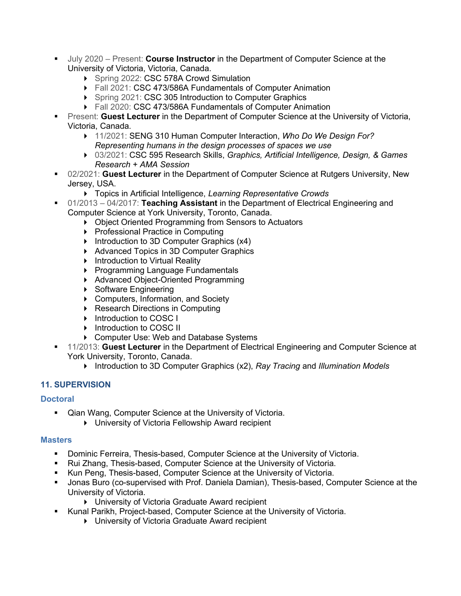- July 2020 Present: **Course Instructor** in the Department of Computer Science at the University of Victoria, Victoria, Canada.
	- ▶ Spring 2022: CSC 578A Crowd Simulation
	- ▶ Fall 2021: CSC 473/586A Fundamentals of Computer Animation
	- ▶ Spring 2021: CSC 305 Introduction to Computer Graphics
	- ▶ Fall 2020: CSC 473/586A Fundamentals of Computer Animation
- **Present: Guest Lecturer in the Department of Computer Science at the University of Victoria,** Victoria, Canada.
	- 11/2021: SENG 310 Human Computer Interaction, *Who Do We Design For? Representing humans in the design processes of spaces we use*
	- 03/2021: CSC 595 Research Skills, *Graphics, Artificial Intelligence, Design, & Games Research + AMA Session*
- 02/2021: **Guest Lecturer** in the Department of Computer Science at Rutgers University, New Jersey, USA.
	- Topics in Artificial Intelligence, *Learning Representative Crowds*
- 01/2013 04/2017: **Teaching Assistant** in the Department of Electrical Engineering and Computer Science at York University, Toronto, Canada.
	- ▶ Object Oriented Programming from Sensors to Actuators
	- ▶ Professional Practice in Computing
	- Introduction to 3D Computer Graphics  $(x4)$
	- ▶ Advanced Topics in 3D Computer Graphics
	- **Introduction to Virtual Reality**
	- ▶ Programming Language Fundamentals
	- ▶ Advanced Object-Oriented Programming
	- ▶ Software Engineering
	- ▶ Computers, Information, and Society
	- ▶ Research Directions in Computing
	- Introduction to COSC I
	- Introduction to COSC II
	- ▶ Computer Use: Web and Database Systems
- 11/2013: **Guest Lecturer** in the Department of Electrical Engineering and Computer Science at York University, Toronto, Canada.
	- Introduction to 3D Computer Graphics (x2), *Ray Tracing* and *Illumination Models*

## **11. SUPERVISION**

#### **Doctoral**

- Qian Wang, Computer Science at the University of Victoria.
	- University of Victoria Fellowship Award recipient

#### **Masters**

- **Dominic Ferreira, Thesis-based, Computer Science at the University of Victoria.**
- Rui Zhang, Thesis-based, Computer Science at the University of Victoria.
- Kun Peng, Thesis-based, Computer Science at the University of Victoria.
- Jonas Buro (co-supervised with Prof. Daniela Damian), Thesis-based, Computer Science at the University of Victoria.
	- ▶ University of Victoria Graduate Award recipient
- Kunal Parikh, Project-based, Computer Science at the University of Victoria.
	- University of Victoria Graduate Award recipient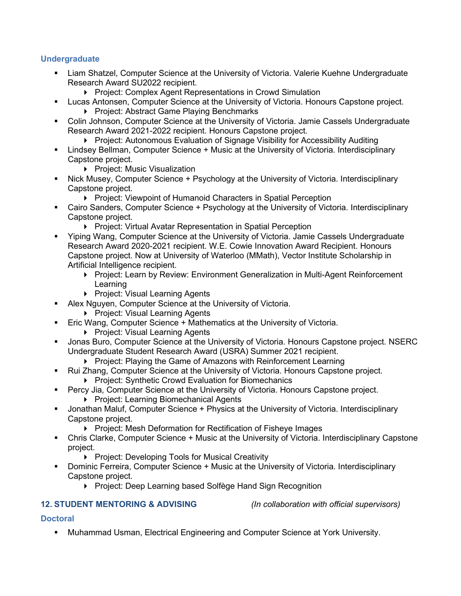#### **Undergraduate**

- Liam Shatzel, Computer Science at the University of Victoria. Valerie Kuehne Undergraduate Research Award SU2022 recipient.
	- **Project: Complex Agent Representations in Crowd Simulation**
- Lucas Antonsen, Computer Science at the University of Victoria. Honours Capstone project. ▶ Project: Abstract Game Playing Benchmarks
- Colin Johnson, Computer Science at the University of Victoria. Jamie Cassels Undergraduate Research Award 2021-2022 recipient. Honours Capstone project.
	- **Project: Autonomous Evaluation of Signage Visibility for Accessibility Auditing**
- Lindsey Bellman, Computer Science + Music at the University of Victoria. Interdisciplinary Capstone project.
	- Project: Music Visualization
- Nick Musey, Computer Science + Psychology at the University of Victoria. Interdisciplinary Capstone project.
	- **Project: Viewpoint of Humanoid Characters in Spatial Perception**
- Cairo Sanders, Computer Science + Psychology at the University of Victoria. Interdisciplinary Capstone project.
	- **Project: Virtual Avatar Representation in Spatial Perception**
- Yiping Wang, Computer Science at the University of Victoria. Jamie Cassels Undergraduate Research Award 2020-2021 recipient. W.E. Cowie Innovation Award Recipient. Honours Capstone project. Now at University of Waterloo (MMath), Vector Institute Scholarship in Artificial Intelligence recipient.
	- ▶ Project: Learn by Review: Environment Generalization in Multi-Agent Reinforcement Learning
	- ▶ Project: Visual Learning Agents
- Alex Nguyen, Computer Science at the University of Victoria.
	- ▶ Project: Visual Learning Agents
- Eric Wang, Computer Science + Mathematics at the University of Victoria.
	- **Project: Visual Learning Agents**
- Jonas Buro, Computer Science at the University of Victoria. Honours Capstone project. NSERC Undergraduate Student Research Award (USRA) Summer 2021 recipient.
	- ▶ Project: Playing the Game of Amazons with Reinforcement Learning
- Rui Zhang, Computer Science at the University of Victoria. Honours Capstone project.
	- ▶ Project: Synthetic Crowd Evaluation for Biomechanics
- Percy Jia, Computer Science at the University of Victoria. Honours Capstone project.
	- ▶ Project: Learning Biomechanical Agents
- Jonathan Maluf, Computer Science + Physics at the University of Victoria. Interdisciplinary Capstone project.
	- **Project: Mesh Deformation for Rectification of Fisheye Images**
- Chris Clarke, Computer Science + Music at the University of Victoria. Interdisciplinary Capstone project.
	- ▶ Project: Developing Tools for Musical Creativity
- Dominic Ferreira, Computer Science + Music at the University of Victoria. Interdisciplinary Capstone project.
	- ▶ Project: Deep Learning based Solfège Hand Sign Recognition

#### **12. STUDENT MENTORING & ADVISING** *(In collaboration with official supervisors)*

#### **Doctoral**

Muhammad Usman, Electrical Engineering and Computer Science at York University.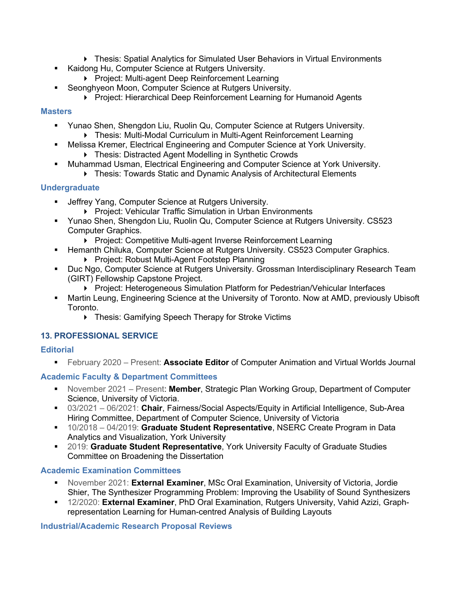- ▶ Thesis: Spatial Analytics for Simulated User Behaviors in Virtual Environments
- Kaidong Hu, Computer Science at Rutgers University.
	- ▶ Project: Multi-agent Deep Reinforcement Learning
- **Seonghyeon Moon, Computer Science at Rutgers University.** 
	- ▶ Project: Hierarchical Deep Reinforcement Learning for Humanoid Agents

#### **Masters**

- Yunao Shen, Shengdon Liu, Ruolin Qu, Computer Science at Rutgers University. Thesis: Multi-Modal Curriculum in Multi-Agent Reinforcement Learning
	- Melissa Kremer, Electrical Engineering and Computer Science at York University.
		- ▶ Thesis: Distracted Agent Modelling in Synthetic Crowds
- Muhammad Usman, Electrical Engineering and Computer Science at York University.
	- Thesis: Towards Static and Dynamic Analysis of Architectural Elements

## **Undergraduate**

- Jeffrey Yang, Computer Science at Rutgers University.
	- **Project: Vehicular Traffic Simulation in Urban Environments**
- Yunao Shen, Shengdon Liu, Ruolin Qu, Computer Science at Rutgers University. CS523 Computer Graphics.
	- ▶ Project: Competitive Multi-agent Inverse Reinforcement Learning
- **Hemanth Chiluka, Computer Science at Rutgers University. CS523 Computer Graphics.** ▶ Project: Robust Multi-Agent Footstep Planning
- **Duc Ngo, Computer Science at Rutgers University. Grossman Interdisciplinary Research Team** (GIRT) Fellowship Capstone Project.
	- ▶ Project: Heterogeneous Simulation Platform for Pedestrian/Vehicular Interfaces
- Martin Leung, Engineering Science at the University of Toronto. Now at AMD, previously Ubisoft Toronto.
	- ▶ Thesis: Gamifying Speech Therapy for Stroke Victims

## **13. PROFESSIONAL SERVICE**

#### **Editorial**

February 2020 – Present: **Associate Editor** of Computer Animation and Virtual Worlds Journal

## **Academic Faculty & Department Committees**

- November 2021 Present: **Member**, Strategic Plan Working Group, Department of Computer Science, University of Victoria.
- 03/2021 06/2021: **Chair**, Fairness/Social Aspects/Equity in Artificial Intelligence, Sub-Area Hiring Committee, Department of Computer Science, University of Victoria
- 10/2018 04/2019: **Graduate Student Representative**, NSERC Create Program in Data Analytics and Visualization, York University
- 2019: **Graduate Student Representative**, York University Faculty of Graduate Studies Committee on Broadening the Dissertation

#### **Academic Examination Committees**

- November 2021: **External Examiner**, MSc Oral Examination, University of Victoria, Jordie Shier, The Synthesizer Programming Problem: Improving the Usability of Sound Synthesizers
- 12/2020: **External Examiner**, PhD Oral Examination, Rutgers University, Vahid Azizi, Graphrepresentation Learning for Human-centred Analysis of Building Layouts

#### **Industrial/Academic Research Proposal Reviews**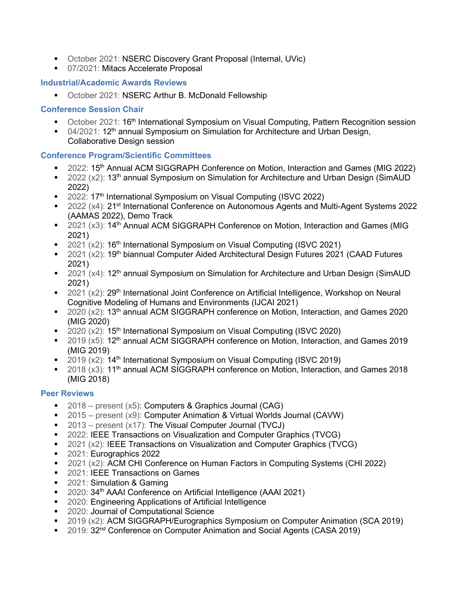- October 2021: NSERC Discovery Grant Proposal (Internal, UVic)
- 07/2021: Mitacs Accelerate Proposal

#### **Industrial/Academic Awards Reviews**

**October 2021: NSERC Arthur B. McDonald Fellowship** 

#### **Conference Session Chair**

- **Decargible 2021: 16<sup>th</sup> International Symposium on Visual Computing, Pattern Recognition session**
- 04/2021: 12<sup>th</sup> annual Symposium on Simulation for Architecture and Urban Design, Collaborative Design session

#### **Conference Program/Scientific Committees**

- <sup>2</sup> 2022: 15<sup>th</sup> Annual ACM SIGGRAPH Conference on Motion, Interaction and Games (MIG 2022)
- 2022 ( $x2$ ): 13<sup>th</sup> annual Symposium on Simulation for Architecture and Urban Design (SimAUD 2022)
- 2022: 17<sup>th</sup> International Symposium on Visual Computing (ISVC 2022)
- 2022 (x4): 21<sup>st</sup> International Conference on Autonomous Agents and Multi-Agent Systems 2022 (AAMAS 2022), Demo Track
- $\blacksquare$  2021 (x3): 14<sup>th</sup> Annual ACM SIGGRAPH Conference on Motion, Interaction and Games (MIG 2021)
- 2021 ( $x2$ ): 16<sup>th</sup> International Symposium on Visual Computing (ISVC 2021)
- 2021 ( $x2$ ): 19<sup>th</sup> biannual Computer Aided Architectural Design Futures 2021 (CAAD Futures 2021)
- 2021  $(x4)$ : 12<sup>th</sup> annual Symposium on Simulation for Architecture and Urban Design (SimAUD 2021)
- 2021  $(x2)$ : 29<sup>th</sup> International Joint Conference on Artificial Intelligence, Workshop on Neural Cognitive Modeling of Humans and Environments (IJCAI 2021)
- $2020$  (x2): 13<sup>th</sup> annual ACM SIGGRAPH conference on Motion, Interaction, and Games 2020 (MIG 2020)
- $\approx$  2020 (x2): 15<sup>th</sup> International Symposium on Visual Computing (ISVC 2020)
- $\sim$  2019 (x5): 12<sup>th</sup> annual ACM SIGGRAPH conference on Motion, Interaction, and Games 2019 (MIG 2019)
- $\sim$  2019 (x2): 14<sup>th</sup> International Symposium on Visual Computing (ISVC 2019)
- 2018 (x3): 11<sup>th</sup> annual ACM SIGGRAPH conference on Motion, Interaction, and Games 2018 (MIG 2018)

## **Peer Reviews**

- $\blacksquare$  2018 present (x5): Computers & Graphics Journal (CAG)
- 2015 present (x9): Computer Animation & Virtual Worlds Journal (CAVW)
- $\blacksquare$  2013 present (x17): The Visual Computer Journal (TVCJ)
- 2022: IEEE Transactions on Visualization and Computer Graphics (TVCG)
- 2021 (x2): IEEE Transactions on Visualization and Computer Graphics (TVCG)
- 2021: Eurographics 2022
- 2021 (x2): ACM CHI Conference on Human Factors in Computing Systems (CHI 2022)
- 2021: IEEE Transactions on Games
- 2021: Simulation & Gaming
- 2020: 34<sup>th</sup> AAAI Conference on Artificial Intelligence (AAAI 2021)
- **2020: Engineering Applications of Artificial Intelligence**
- **2020: Journal of Computational Science**
- 2019 (x2): ACM SIGGRAPH/Eurographics Symposium on Computer Animation (SCA 2019)
- 2019: 32<sup>nd</sup> Conference on Computer Animation and Social Agents (CASA 2019)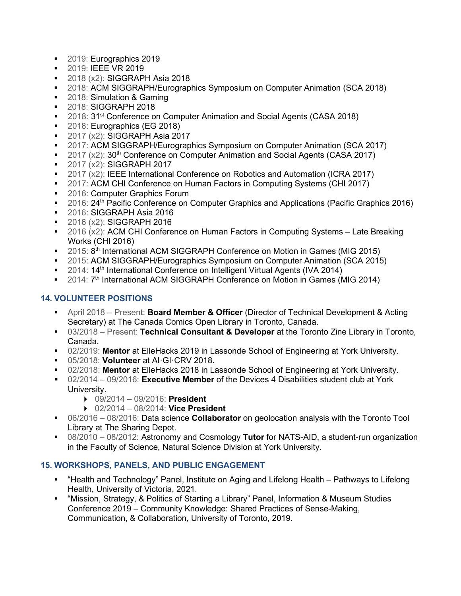- 2019: Eurographics 2019
- **2019: IEEE VR 2019**
- **2018 (x2): SIGGRAPH Asia 2018**
- 2018: ACM SIGGRAPH/Eurographics Symposium on Computer Animation (SCA 2018)
- 2018: Simulation & Gaming
- **2018: SIGGRAPH 2018**
- 2018: 31<sup>st</sup> Conference on Computer Animation and Social Agents (CASA 2018)
- 2018: Eurographics (EG 2018)
- **2017 (x2): SIGGRAPH Asia 2017**
- 2017: ACM SIGGRAPH/Eurographics Symposium on Computer Animation (SCA 2017)
- 2017 ( $\times$ 2): 30<sup>th</sup> Conference on Computer Animation and Social Agents (CASA 2017)
- **2017 (x2): SIGGRAPH 2017**
- 2017 (x2): IEEE International Conference on Robotics and Automation (ICRA 2017)
- 2017: ACM CHI Conference on Human Factors in Computing Systems (CHI 2017)
- 2016: Computer Graphics Forum
- 2016: 24<sup>th</sup> Pacific Conference on Computer Graphics and Applications (Pacific Graphics 2016)
- 2016: SIGGRAPH Asia 2016
- **2016 (x2): SIGGRAPH 2016**
- 2016 (x2): ACM CHI Conference on Human Factors in Computing Systems Late Breaking Works (CHI 2016)
- <sup>2015: 8th</sup> International ACM SIGGRAPH Conference on Motion in Games (MIG 2015)
- 2015: ACM SIGGRAPH/Eurographics Symposium on Computer Animation (SCA 2015)
- <sup>2014</sup>: 14<sup>th</sup> International Conference on Intelligent Virtual Agents (IVA 2014)
- 2014: 7<sup>th</sup> International ACM SIGGRAPH Conference on Motion in Games (MIG 2014)

## **14. VOLUNTEER POSITIONS**

- April 2018 Present: **Board Member & Officer** (Director of Technical Development & Acting Secretary) at The Canada Comics Open Library in Toronto, Canada.
- 03/2018 Present: **Technical Consultant & Developer** at the Toronto Zine Library in Toronto, Canada.
- 02/2019: **Mentor** at ElleHacks 2019 in Lassonde School of Engineering at York University.
- 05/2018: **Volunteer** at AI·GI·CRV 2018.
- 02/2018: **Mentor** at ElleHacks 2018 in Lassonde School of Engineering at York University.
- 02/2014 09/2016: **Executive Member** of the Devices 4 Disabilities student club at York University.
	- 09/2014 09/2016: **President**
	- 02/2014 08/2014: **Vice President**
- 06/2016 08/2016: Data science **Collaborator** on geolocation analysis with the Toronto Tool Library at The Sharing Depot.
- 08/2010 08/2012: Astronomy and Cosmology **Tutor** for NATS-AID, a student-run organization in the Faculty of Science, Natural Science Division at York University.

## **15. WORKSHOPS, PANELS, AND PUBLIC ENGAGEMENT**

- "Health and Technology" Panel, Institute on Aging and Lifelong Health Pathways to Lifelong Health, University of Victoria, 2021.
- "Mission, Strategy, & Politics of Starting a Library" Panel, Information & Museum Studies Conference 2019 – Community Knowledge: Shared Practices of Sense-Making, Communication, & Collaboration, University of Toronto, 2019.